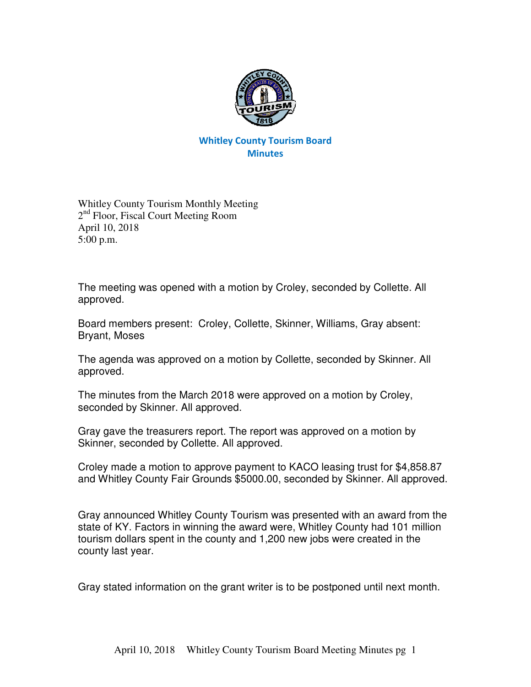

## Whitley County Tourism Board **Minutes**

Whitley County Tourism Monthly Meeting 2<sup>nd</sup> Floor, Fiscal Court Meeting Room April 10, 2018 5:00 p.m.

The meeting was opened with a motion by Croley, seconded by Collette. All approved.

Board members present: Croley, Collette, Skinner, Williams, Gray absent: Bryant, Moses

The agenda was approved on a motion by Collette, seconded by Skinner. All approved.

The minutes from the March 2018 were approved on a motion by Croley, seconded by Skinner. All approved.

Gray gave the treasurers report. The report was approved on a motion by Skinner, seconded by Collette. All approved.

Croley made a motion to approve payment to KACO leasing trust for \$4,858.87 and Whitley County Fair Grounds \$5000.00, seconded by Skinner. All approved.

Gray announced Whitley County Tourism was presented with an award from the state of KY. Factors in winning the award were, Whitley County had 101 million tourism dollars spent in the county and 1,200 new jobs were created in the county last year.

Gray stated information on the grant writer is to be postponed until next month.